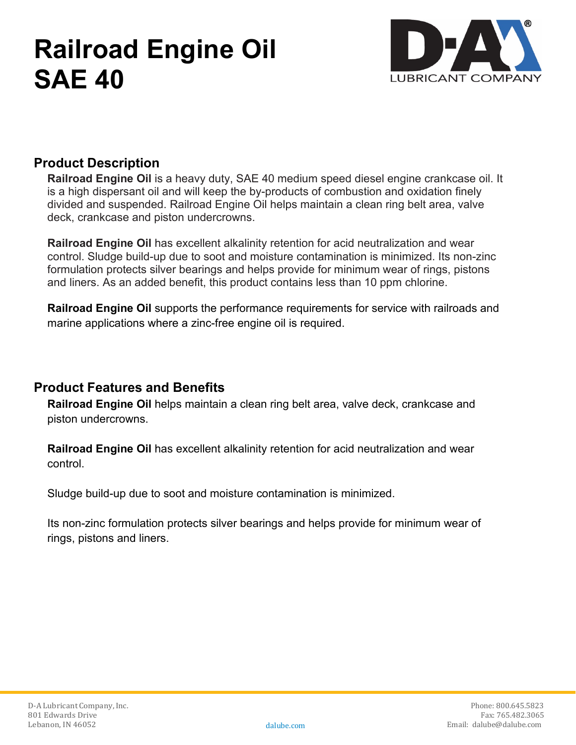# **Railroad Engine Oil SAE 40**



### **Product Description**

**Railroad Engine Oil** is a heavy duty, SAE 40 medium speed diesel engine crankcase oil. It is a high dispersant oil and will keep the by-products of combustion and oxidation finely divided and suspended. Railroad Engine Oil helps maintain a clean ring belt area, valve deck, crankcase and piston undercrowns.

**Railroad Engine Oil** has excellent alkalinity retention for acid neutralization and wear control. Sludge build-up due to soot and moisture contamination is minimized. Its non-zinc formulation protects silver bearings and helps provide for minimum wear of rings, pistons and liners. As an added benefit, this product contains less than 10 ppm chlorine.

**Railroad Engine Oil** supports the performance requirements for service with railroads and marine applications where a zinc-free engine oil is required.

#### **Product Features and Benefits**

**Railroad Engine Oil** helps maintain a clean ring belt area, valve deck, crankcase and piston undercrowns.

**Railroad Engine Oil** has excellent alkalinity retention for acid neutralization and wear control.

Sludge build-up due to soot and moisture contamination is minimized.

Its non-zinc formulation protects silver bearings and helps provide for minimum wear of rings, pistons and liners.